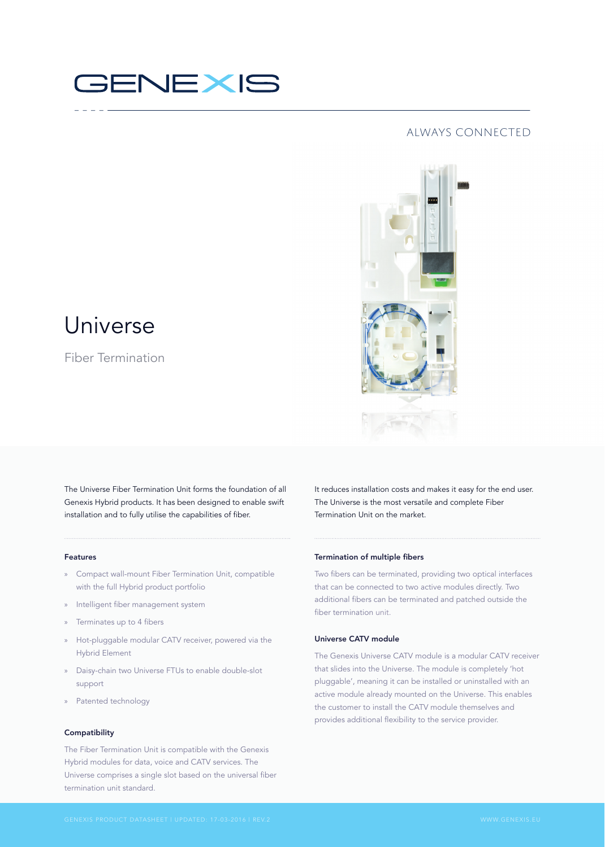# GENEXIS

### always connected



## Universe

Fiber Termination

The Universe Fiber Termination Unit forms the foundation of all Genexis Hybrid products. It has been designed to enable swift installation and to fully utilise the capabilities of fiber.

### Features

- » Compact wall-mount Fiber Termination Unit, compatible with the full Hybrid product portfolio
- » Intelligent fiber management system
- » Terminates up to 4 fibers
- » Hot-pluggable modular CATV receiver, powered via the Hybrid Element
- » Daisy-chain two Universe FTUs to enable double-slot support
- » Patented technology

### Compatibility

The Fiber Termination Unit is compatible with the Genexis Hybrid modules for data, voice and CATV services. The Universe comprises a single slot based on the universal fiber termination unit standard.

It reduces installation costs and makes it easy for the end user. The Universe is the most versatile and complete Fiber Termination Unit on the market.

### Termination of multiple fibers

Two fibers can be terminated, providing two optical interfaces that can be connected to two active modules directly. Two additional fibers can be terminated and patched outside the fiber termination unit.

### Universe CATV module

The Genexis Universe CATV module is a modular CATV receiver that slides into the Universe. The module is completely 'hot pluggable', meaning it can be installed or uninstalled with an active module already mounted on the Universe. This enables the customer to install the CATV module themselves and provides additional flexibility to the service provider.